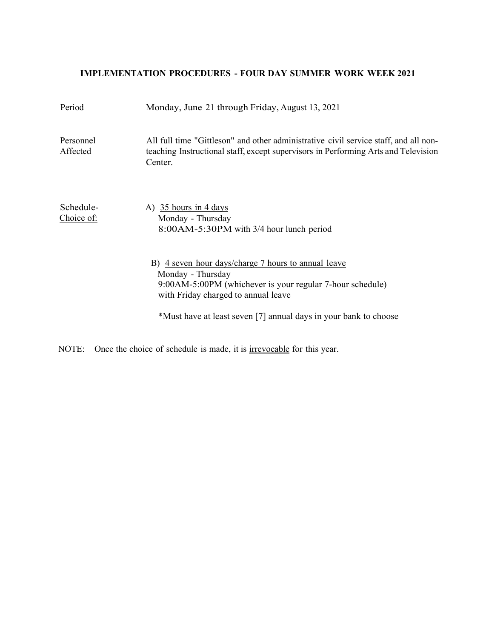## **IMPLEMENTATION PROCEDURES - FOUR DAY SUMMER WORK WEEK 2021**

| Period                  | Monday, June 21 through Friday, August 13, 2021                                                                                                                                                                                                  |
|-------------------------|--------------------------------------------------------------------------------------------------------------------------------------------------------------------------------------------------------------------------------------------------|
| Personnel<br>Affected   | All full time "Gittleson" and other administrative civil service staff, and all non-<br>teaching Instructional staff, except supervisors in Performing Arts and Television<br>Center.                                                            |
| Schedule-<br>Choice of: | A) 35 hours in 4 days<br>Monday - Thursday<br>8:00AM-5:30PM with 3/4 hour lunch period                                                                                                                                                           |
|                         | B) 4 seven hour days/charge 7 hours to annual leave<br>Monday - Thursday<br>9:00AM-5:00PM (whichever is your regular 7-hour schedule)<br>with Friday charged to annual leave<br>*Must have at least seven [7] annual days in your bank to choose |
|                         |                                                                                                                                                                                                                                                  |

NOTE: Once the choice of schedule is made, it is <u>irrevocable</u> for this year.